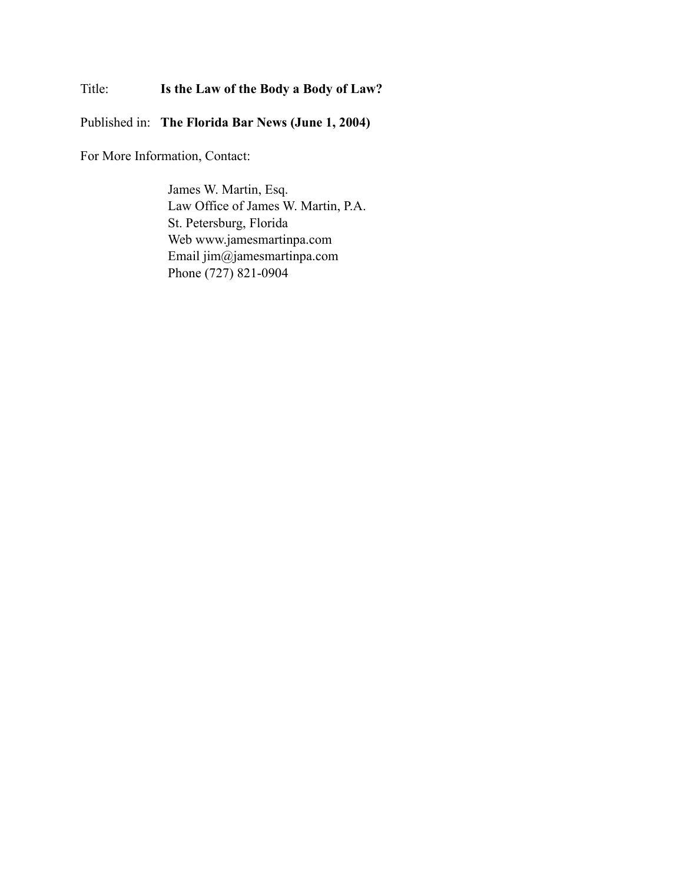### Title: **Is the Law of the Body a Body of Law?**

Published in: **The Florida Bar News (June 1, 2004)**

For More Information, Contact:

James W. Martin, Esq. Law Office of James W. Martin, P.A. St. Petersburg, Florida Web www.jamesmartinpa.com Email jim@jamesmartinpa.com Phone (727) 821-0904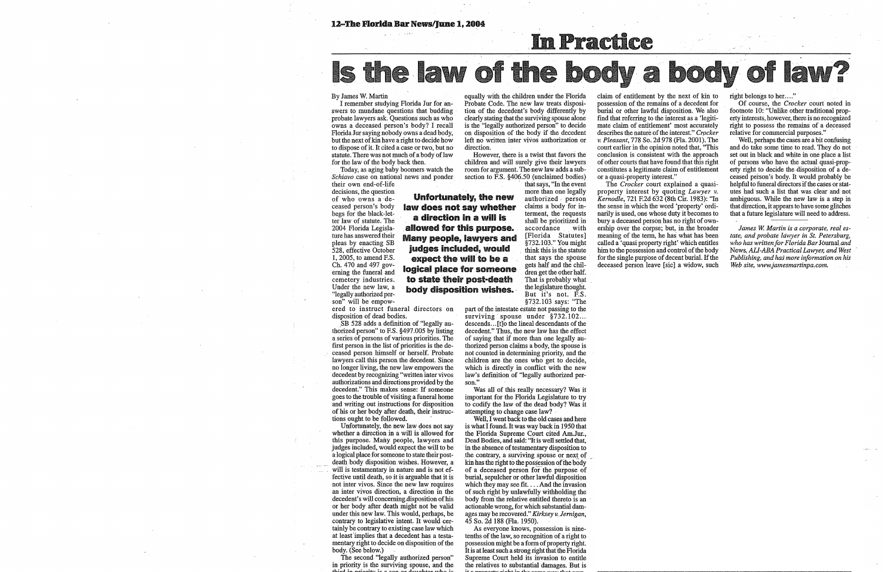#### 12-The Florida Bar News/June 1, 2004

# Is the law of the body a body of la

### By James W. Martin

I remember studying Florida Jur for answers to mundane questions that budding probate lawyers ask. Questions· such as who owns a deceased person's body? I recall Florida Jur saying nobody owns a dead body, but the next of kin have a right to decide how to dispose of it. It cited a case or two, but no· statute. There was not much of a body of law for the law of the body back then.

However, there is a twist that favors the children and will surely give their lawyers room for argument. The-new law adds a subsection to F.S. §406.50 (unclaimed bodies)

Today, as aging baby boomers watch the *Schiavo* case on national news and ponder their own end-of-life

decisions, the question of who owns a deceased person's body begs for the black-letter law of statute. The 2004 Florida Legislature has answered their pleas by enacting SB 528, effective October 1, 2005, to amend F.S. Ch. 470 and 497 governing the funeral and cemetery industries. Under the new law, a "legally authorized person" will be empow-**Unfortunately, the new law does not say whether a direction in a will is allowed for this** purpose. **Many people, lawyers and**  judges included, would expect the will to be a **logical place for someone**  to state their post-death body disposition wishes.

equally with the children under the Florida Probate Code. The new law treats disposition of the decedent's body differently by clearly stating that the surviving spouse alone is the "legally authorized person" to decide on disposition of the body if the decedent left no written inter vivos authorization or direction.

Unfortunately, the new law does not say whether a direction in a will is allowed for this purpose. Many people, lawyers and judges included, would expect the will to be a logical place for someone to state their postdeath body disposition wishes. However, a will is testamentary in nature and is not effective until death, so it is arguable that it is not inter vivos. Since the new law requires an inter vivos direction, a direction in the decedent's will concerning.disposition of his or her body after death might not be valid under this new law. This would, perhaps, be contrary to legislative intent. It would certainly be contrary to existing case law which at leasfimplies that a decedent has a testamentary right to decide on disposition of the body. (See below.)

The second "legally authorized person" in priority is the surviving spouse, and the that says, "In the event more than one legally authorized . person claims a body for interment, the requests shall be prioritized in accordance with [Florida Statutes] §732.103." You might think this is the statute that says the spouse gets half and the children get the other half. That is probably what the legislature thought. But it's not. F.S. §732.103 says: "The

ered to instruct funeral directors on disposition of dead bodies.

\_SB 528 adds a definition of "legally authorized person" to F.S. §497.005 by listing a series of persons of various priorities. The first person in the list of priorities is the deceased person himself or herself. Probate lawyers call this person the decedent. Since no longer living, the new law empowers the decedent by recognizing "written inter vivos authorizations and directions provided by the decedent." This makes sense: If someone goes to the trouble of visiting a funeral home and writing out instructions for disposition of his or her body after death, their instructions ought to be followed. •

Well, I went back to the old cases and here is what I found. It was way back in 1950 that the Florida Supreme Court cited Am.Jur., Dead Bodies, and said: ''It is well settled that, in the absence of testamentary disposition to the contrary, a surviving spouse or next of kin has the right to the possession of the body of a deceased person for the purpose of burial, sepulcher or other lawful disposition which they may see fit. ... And the invasion of such right by uulawfully withholding the body from the relative entitled thereto is an actionable wrong, for which substantial damages may be recovered." *Kirksey v .. Jernigan,*  45 So. 2d 188 (Fla. 1950).

As everyone knows, possession is ninetenths of the law, so recognition of a right to possession might be a form of property right. It is at least such a strong right that the Florida Supreme Court held its invasion to entitle the relatives to substantial damages. But is



right belongs to her...."

Of course, the *Crocker* court noted in footnote 10: "Unlike other traditional property interests, however, there is no recognized right to possess the remains of a deceased relative for commercial purposes."

part of the intestate estate not passing to the surviving spouse under §732.102... descends ... [t]o the lineal descendants of the decedent." Thus, the new law has the effect of saying that if more than one legally authorized person claims a body, the spouse is not counted in determining priority, and the children are the ones who get to decide, which is directly in conflict with the new law's definition of "legally authorized person."

Was all of this really necessary? Was it important for the Florida Legislature to try to codify the law of the dead body? Was it attempting to change case law? -

claim of entitlement by the next of kin to possession of the remains of a decedent for burial or other lawful disposition. We also find that referring to the interest as a 'legitimate claim of entitlement' most accurately describes the nature of the interest." Crocker *v. Pleasant,* 778 So. 2d 978 (Fla. 2001). The court earlier in the opinion noted that, ''This conclusion is consistent with the approach of other courts that have found that this right constitutes a legitimate claim of entitlement or a quasi-property interest."

The *Crocker* court explained a quasiproperty interest by quoting *Lawyer v. Kernodle,* 721 F.2d 632 (8th Cir. 1983): "In the sense in which the word 'property' ordinarily is used, one whose duty it becomes to bury a deceased person has no right of ownership over the corpse; but, in.the broader meaning of the term, he has what has been called a 'quasi property right' which entitles him to the possession and control of the body for the single purpose of decent burial. If the deceased person leave [sic] a widow, such

Well, perhaps the cases are a bit confusing and do take some time to read. They do not set out in black and white in one place a list of persons who have the actual quasi-property right to decide the disposition of a deceased person's body. It would probably be helpful to funeral directors if the cases or statutes had such a list that was clear and not ambiguous. While the new law is a step in that direction, it appears to have some glitches that a future legislature will need to address.

*James W. Martin is a corporate, real estate; and probate lawyer in St. Petersburg, who has written for Florida Bar Journal.and*  News, *All-ABA Practical Lawyer, and West Publishing, and has more infonnation on his Web site, www.jamesmartinpa.com.*